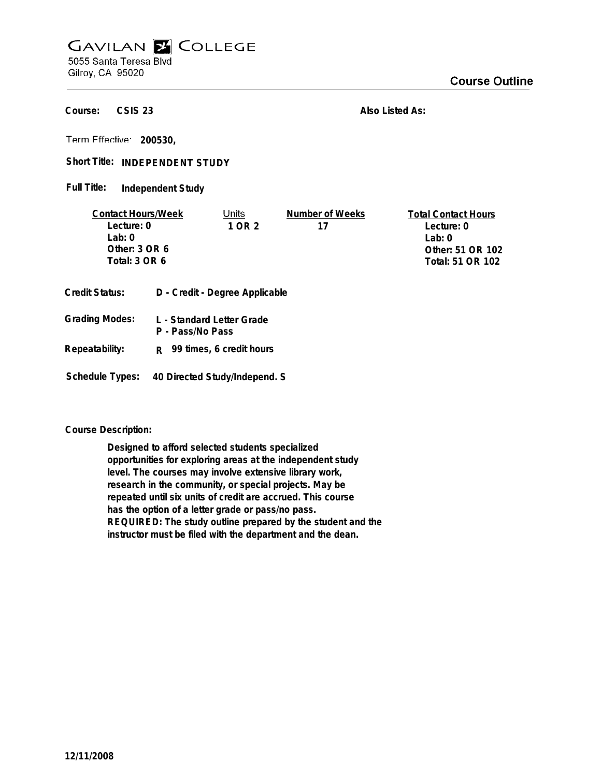## **GAVILAN E COLLEGE** 5055 Santa Teresa Blvd

Gilroy, CA 95020

**CSIS 23 Course:**

**Also Listed As:**

**200530,**

Short Title: INDEPENDENT STUDY

**Independent Study Full Title:**

| <b>Contact Hours/Week</b> |                  | Units                          | Number of Weeks  | <b>Total Contact Hours</b> |
|---------------------------|------------------|--------------------------------|------------------|----------------------------|
| Lecture: 0                |                  | 1 OR 2                         | 17               | Lecture: 0                 |
| l ab: 0                   |                  |                                |                  | Lab: 0                     |
| Other: $3$ OR $6$         |                  |                                |                  | Other: 51 OR 102           |
| Total: 3 OR 6             |                  |                                | Total: 51 OR 102 |                            |
|                           |                  |                                |                  |                            |
| Credit Status:            |                  | D - Credit - Degree Applicable |                  |                            |
| <b>Grading Modes:</b>     | P - Pass/No Pass | L - Standard Letter Grade      |                  |                            |

- **Repeatability: R 99 times, 6 credit hours**
- **Schedule Types: 40 Directed Study/Independ. S**

## **Course Description:**

**Designed to afford selected students specialized opportunities for exploring areas at the independent study level. The courses may involve extensive library work, research in the community, or special projects. May be repeated until six units of credit are accrued. This course has the option of a letter grade or pass/no pass. REQUIRED: The study outline prepared by the student and the instructor must be filed with the department and the dean.**